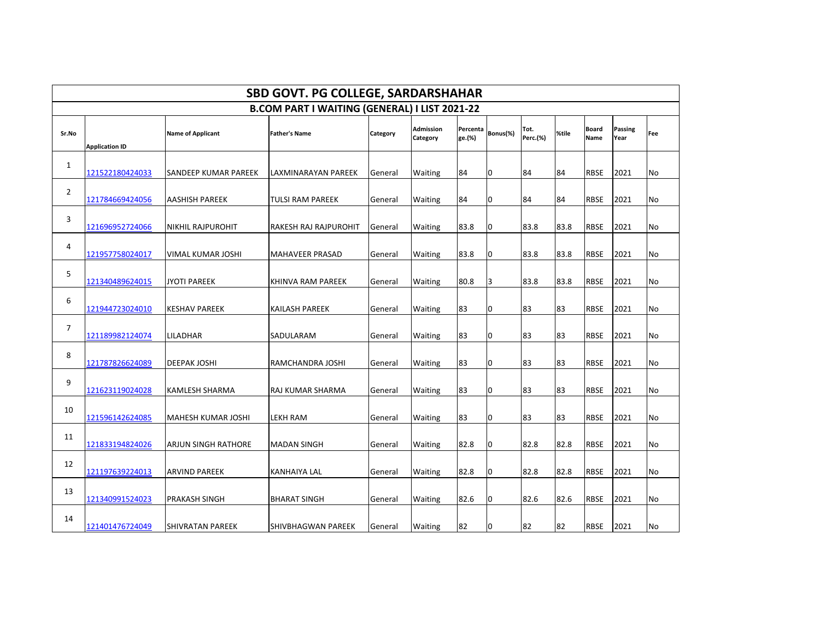| <b>SBD GOVT. PG COLLEGE, SARDARSHAHAR</b>            |                       |                           |                           |          |                              |                    |                |                  |       |                      |                        |           |
|------------------------------------------------------|-----------------------|---------------------------|---------------------------|----------|------------------------------|--------------------|----------------|------------------|-------|----------------------|------------------------|-----------|
| <b>B.COM PART I WAITING (GENERAL) I LIST 2021-22</b> |                       |                           |                           |          |                              |                    |                |                  |       |                      |                        |           |
| Sr.No                                                | <b>Application ID</b> | <b>Name of Applicant</b>  | <b>Father's Name</b>      | Category | <b>Admission</b><br>Category | Percenta<br>ge.(%) | Bonus(%)       | Tot.<br>Perc.(%) | %tile | <b>Board</b><br>Name | <b>Passing</b><br>Year | Fee       |
| $\mathbf{1}$                                         | 121522180424033       | SANDEEP KUMAR PAREEK      | LAXMINARAYAN PAREEK       | General  | Waiting                      | 84                 | 0              | 84               | 84    | <b>RBSE</b>          | 2021                   | No        |
| 2                                                    | 121784669424056       | <b>AASHISH PAREEK</b>     | <b>TULSI RAM PAREEK</b>   | General  | Waiting                      | 84                 | 0              | 84               | 84    | <b>RBSE</b>          | 2021                   | No        |
| 3                                                    | 121696952724066       | <b>NIKHIL RAJPUROHIT</b>  | RAKESH RAJ RAJPUROHIT     | General  | Waiting                      | 83.8               | 0              | 83.8             | 83.8  | <b>RBSE</b>          | 2021                   | No        |
| 4                                                    | 121957758024017       | VIMAL KUMAR JOSHI         | <b>MAHAVEER PRASAD</b>    | General  | Waiting                      | 83.8               | 0              | 83.8             | 83.8  | <b>RBSE</b>          | 2021                   | <b>No</b> |
| 5                                                    | 121340489624015       | <b>JYOTI PAREEK</b>       | KHINVA RAM PAREEK         | General  | Waiting                      | 80.8               | 3              | 83.8             | 83.8  | <b>RBSE</b>          | 2021                   | <b>No</b> |
| 6                                                    | 121944723024010       | KESHAV PAREEK             | KAILASH PAREEK            | General  | Waiting                      | 83                 | 0              | 83               | 83    | <b>RBSE</b>          | 2021                   | No        |
| 7                                                    | 121189982124074       | LILADHAR                  | SADULARAM                 | General  | Waiting                      | 83                 | 0              | 83               | 83    | <b>RBSE</b>          | 2021                   | No        |
| 8                                                    | 121787826624089       | <b>DEEPAK JOSHI</b>       | RAMCHANDRA JOSHI          | General  | Waiting                      | 83                 | 0              | 83               | 83    | <b>RBSE</b>          | 2021                   | No        |
| 9                                                    | 121623119024028       | KAMLESH SHARMA            | RAJ KUMAR SHARMA          | General  | Waiting                      | 83                 | 0              | 83               | 83    | RBSE                 | 2021                   | No        |
| 10                                                   | 121596142624085       | <b>MAHESH KUMAR JOSHI</b> | LEKH RAM                  | General  | Waiting                      | 83                 | 0              | 83               | 83    | <b>RBSE</b>          | 2021                   | No        |
| 11                                                   | 121833194824026       | ARJUN SINGH RATHORE       | <b>MADAN SINGH</b>        | General  | Waiting                      | 82.8               | $\overline{0}$ | 82.8             | 82.8  | <b>RBSE</b>          | 2021                   | No        |
| 12                                                   | 121197639224013       | <b>ARVIND PAREEK</b>      | <b>KANHAIYA LAL</b>       | General  | Waiting                      | 82.8               | 0              | 82.8             | 82.8  | <b>RBSE</b>          | 2021                   | No        |
| 13                                                   | 121340991524023       | PRAKASH SINGH             | <b>BHARAT SINGH</b>       | General  | Waiting                      | 82.6               | 0              | 82.6             | 82.6  | <b>RBSE</b>          | 2021                   | No        |
| 14                                                   | 121401476724049       | <b>SHIVRATAN PAREEK</b>   | <b>SHIVBHAGWAN PAREEK</b> | General  | <b>Waiting</b>               | 82                 | 0              | 82               | 82    | <b>RBSE</b>          | 2021                   | No        |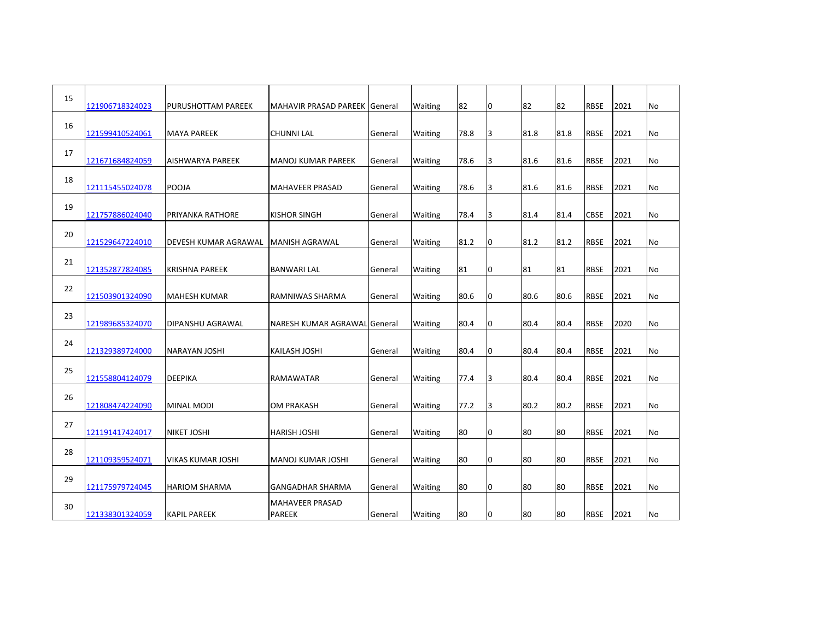| 15 | 121906718324023 | <b>PURUSHOTTAM PAREEK</b> | MAHAVIR PRASAD PAREEK General    |         | Waiting        | 82   | 0  | 82   | 82   | <b>RBSE</b> | 2021 | No        |
|----|-----------------|---------------------------|----------------------------------|---------|----------------|------|----|------|------|-------------|------|-----------|
| 16 | 121599410524061 | <b>MAYA PAREEK</b>        | <b>CHUNNI LAL</b>                | General | <b>Waiting</b> | 78.8 | 3  | 81.8 | 81.8 | <b>RBSE</b> | 2021 | No        |
| 17 | 121671684824059 | AISHWARYA PAREEK          | MANOJ KUMAR PAREEK               | General | Waiting        | 78.6 | 3  | 81.6 | 81.6 | <b>RBSE</b> | 2021 | No        |
| 18 | 121115455024078 | <b>POOJA</b>              | IMAHAVEER PRASAD                 | General | <b>Waiting</b> | 78.6 | 3  | 81.6 | 81.6 | <b>RBSE</b> | 2021 | <b>No</b> |
| 19 |                 |                           |                                  |         |                |      |    |      |      |             |      |           |
| 20 | 121757886024040 | PRIYANKA RATHORE          | <b>KISHOR SINGH</b>              | General | <b>Waiting</b> | 78.4 | Iз | 81.4 | 81.4 | <b>CBSE</b> | 2021 | No        |
| 21 | 121529647224010 | DEVESH KUMAR AGRAWAL      | <b>MANISH AGRAWAL</b>            | General | <b>Waiting</b> | 81.2 | 0  | 81.2 | 81.2 | <b>RBSE</b> | 2021 | <b>No</b> |
| 22 | 121352877824085 | <b>KRISHNA PAREEK</b>     | <b>BANWARI LAL</b>               | General | <b>Waiting</b> | 81   | 0  | 81   | 81   | <b>RBSE</b> | 2021 | No        |
|    | 121503901324090 | <b>MAHESH KUMAR</b>       | <b>RAMNIWAS SHARMA</b>           | General | <b>Waiting</b> | 80.6 | 0  | 80.6 | 80.6 | <b>RBSE</b> | 2021 | <b>No</b> |
| 23 | 121989685324070 | DIPANSHU AGRAWAL          | NARESH KUMAR AGRAWAL General     |         | <b>Waiting</b> | 80.4 | 0  | 80.4 | 80.4 | <b>RBSE</b> | 2020 | No        |
| 24 | 121329389724000 | <b>NARAYAN JOSHI</b>      | <b>KAILASH JOSHI</b>             | General | Waiting        | 80.4 | 0  | 80.4 | 80.4 | <b>RBSE</b> | 2021 | No        |
| 25 | 121558804124079 | <b>DEEPIKA</b>            | RAMAWATAR                        | General | <b>Waiting</b> | 77.4 | 3  | 80.4 | 80.4 | <b>RBSE</b> | 2021 | No        |
| 26 | 121808474224090 | <b>MINAL MODI</b>         | <b>OM PRAKASH</b>                | General | Waiting        | 77.2 | 3  | 80.2 | 80.2 | <b>RBSE</b> | 2021 | No        |
| 27 | 121191417424017 | <b>NIKET JOSHI</b>        | <b>HARISH JOSHI</b>              | General | <b>Waiting</b> | 80   | 0  | 80   | 80   | <b>RBSE</b> | 2021 | No        |
| 28 |                 |                           |                                  |         |                |      |    |      | 80   |             |      |           |
| 29 | 121109359524071 | VIKAS KUMAR JOSHI         | İMANOJ KUMAR JOSHI               | General | <b>Waiting</b> | 80   | 0  | 180  |      | <b>RBSE</b> | 2021 | No        |
|    | 121175979724045 | <b>HARIOM SHARMA</b>      | GANGADHAR SHARMA                 | General | <b>Waiting</b> | 80   | 0  | 80   | 80   | RBSE        | 2021 | No        |
| 30 | 121338301324059 | <b>KAPIL PAREEK</b>       | MAHAVEER PRASAD<br><b>PAREEK</b> | General | <b>Waiting</b> | 80   | 0  | 80   | 80   | <b>RBSE</b> | 2021 | No        |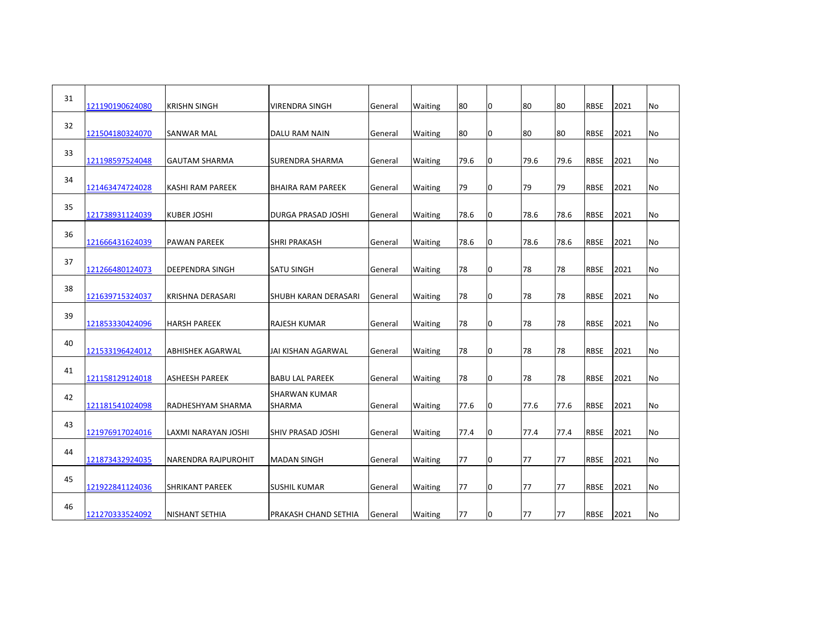| 31 | 121190190624080 | <b>KRISHN SINGH</b>        | <b>VIRENDRA SINGH</b>                          | General | Waiting        | 80   | 0 | 80   | 80   | <b>RBSE</b> | 2021 | No        |
|----|-----------------|----------------------------|------------------------------------------------|---------|----------------|------|---|------|------|-------------|------|-----------|
| 32 | 121504180324070 | <b>SANWAR MAL</b>          | DALU RAM NAIN                                  | General | <b>Waiting</b> | 80   | 0 | 80   | 80   | <b>RBSE</b> | 2021 | <b>No</b> |
| 33 | 121198597524048 | <b>GAUTAM SHARMA</b>       | SURENDRA SHARMA                                | General | <b>Waiting</b> | 79.6 | 0 | 79.6 | 79.6 | <b>RBSE</b> | 2021 | No        |
| 34 | 121463474724028 | <b>KASHI RAM PAREEK</b>    | BHAIRA RAM PAREEK                              | General | Waiting        | 79   | 0 | 79   | 79   | <b>RBSE</b> | 2021 | No        |
| 35 | 121738931124039 | <b>KUBER JOSHI</b>         | <b>DURGA PRASAD JOSHI</b>                      | General | <b>Waiting</b> | 78.6 | 0 | 78.6 | 78.6 | <b>RBSE</b> | 2021 | No        |
| 36 | 121666431624039 | PAWAN PAREEK               | <b>SHRI PRAKASH</b>                            | General | Waiting        | 78.6 | 0 | 78.6 | 78.6 | <b>RBSE</b> | 2021 | No        |
| 37 | 121266480124073 | <b>DEEPENDRA SINGH</b>     | <b>SATU SINGH</b>                              | General | Waiting        | 78   | 0 | 78   | 78   | <b>RBSE</b> | 2021 | No        |
| 38 |                 |                            |                                                |         |                |      |   |      |      |             |      |           |
| 39 | 121639715324037 | <b>KRISHNA DERASARI</b>    | <b>SHUBH KARAN DERASARI</b>                    | General | <b>Waiting</b> | 78   | 0 | 78   | 78   | <b>RBSE</b> | 2021 | No        |
| 40 | 121853330424096 | <b>HARSH PAREEK</b>        | IRAJESH KUMAR                                  | General | <b>Waiting</b> | 78   | 0 | 78   | 78   | <b>RBSE</b> | 2021 | No        |
| 41 | 121533196424012 | <b>ABHISHEK AGARWAL</b>    | JAI KISHAN AGARWAL                             | General | <b>Waiting</b> | 78   | 0 | 78   | 78   | <b>RBSE</b> | 2021 | No        |
| 42 | 121158129124018 | <b>ASHEESH PAREEK</b>      | <b>BABU LAL PAREEK</b><br><b>SHARWAN KUMAR</b> | General | <b>Waiting</b> | 78   | 0 | 78   | 78   | <b>RBSE</b> | 2021 | No        |
| 43 | 121181541024098 | RADHESHYAM SHARMA          | <b>SHARMA</b>                                  | General | <b>Waiting</b> | 77.6 | 0 | 77.6 | 77.6 | <b>RBSE</b> | 2021 | <b>No</b> |
| 44 | 121976917024016 | LAXMI NARAYAN JOSHI        | SHIV PRASAD JOSHI                              | General | <b>Waiting</b> | 77.4 | 0 | 77.4 | 77.4 | <b>RBSE</b> | 2021 | No        |
|    | 121873432924035 | <b>NARENDRA RAJPUROHIT</b> | <b>MADAN SINGH</b>                             | General | <b>Waiting</b> | 77   | 0 | 77   | 77   | <b>RBSE</b> | 2021 | <b>No</b> |
| 45 | 121922841124036 | SHRIKANT PAREEK            | ISUSHIL KUMAR                                  | General | <b>Waiting</b> | 77   | 0 | 77   | 77   | <b>RBSE</b> | 2021 | No        |
| 46 | 121270333524092 | <b>NISHANT SETHIA</b>      | IPRAKASH CHAND SETHIA                          | General | <b>Waiting</b> | 77   | 0 | 77   | 77   | <b>RBSE</b> | 2021 | <b>No</b> |